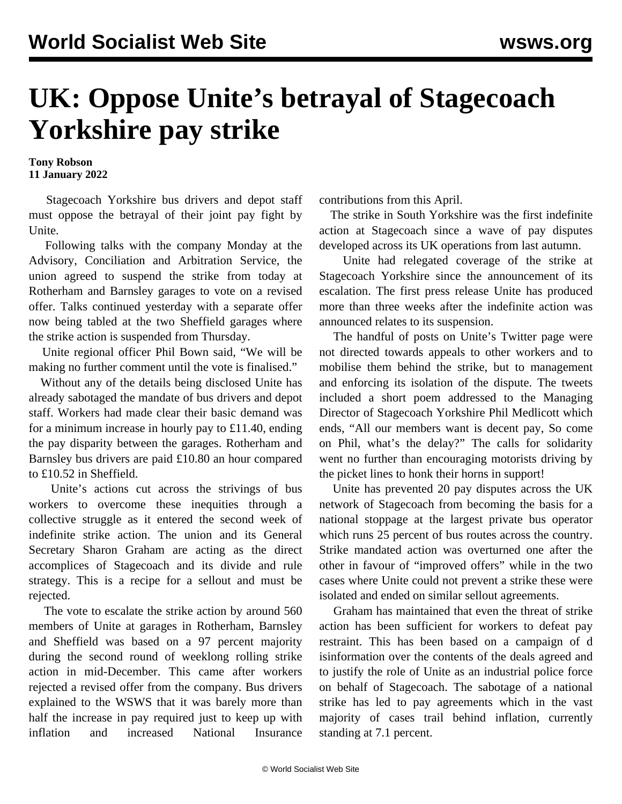## **UK: Oppose Unite's betrayal of Stagecoach Yorkshire pay strike**

**Tony Robson 11 January 2022**

 Stagecoach Yorkshire bus drivers and depot staff must oppose the betrayal of their joint pay fight by Unite.

 Following talks with the company Monday at the Advisory, Conciliation and Arbitration Service, the union agreed to suspend the strike from today at Rotherham and Barnsley garages to vote on a revised offer. Talks continued yesterday with a separate offer now being tabled at the two Sheffield garages where the strike action is suspended from Thursday.

 Unite regional officer Phil Bown said, "We will be making no further comment until the vote is finalised."

 Without any of the details being disclosed Unite has already sabotaged the mandate of bus drivers and depot staff. Workers had made clear their basic demand was for a minimum increase in hourly pay to £11.40, ending the pay disparity between the garages. Rotherham and Barnsley bus drivers are paid £10.80 an hour compared to £10.52 in Sheffield.

 Unite's actions cut across the strivings of bus workers to overcome these inequities through a collective struggle as it entered the second week of indefinite strike action. The union and its General Secretary Sharon Graham are acting as the direct accomplices of Stagecoach and its divide and rule strategy. This is a recipe for a sellout and must be rejected.

 The vote to escalate the strike action by around 560 members of Unite at garages in Rotherham, Barnsley and Sheffield was based on a 97 percent majority during the second round of weeklong rolling strike action in mid-December. This came after workers rejected a revised offer from the company. Bus drivers [explained](/en/articles/2021/12/15/stag-d15.html) to the WSWS that it was barely more than half the increase in pay required just to keep up with inflation and increased National Insurance contributions from this April.

 The strike in South Yorkshire was the first indefinite action at Stagecoach since a wave of pay disputes developed across its UK operations from last autumn.

 Unite had relegated coverage of the strike at Stagecoach Yorkshire since the announcement of its escalation. The first press release Unite has produced more than three weeks after the indefinite action was announced relates to its suspension.

 The handful of posts on Unite's Twitter page were not directed towards appeals to other workers and to mobilise them behind the strike, but to management and enforcing its isolation of the dispute. The tweets included a short poem addressed to the Managing Director of Stagecoach Yorkshire Phil Medlicott which ends, "All our members want is decent pay, So come on Phil, what's the delay?" The calls for solidarity went no further than encouraging motorists driving by the picket lines to honk their horns in support!

 Unite has prevented 20 pay disputes across the UK network of Stagecoach from becoming the basis for a national stoppage at the largest private bus operator which runs 25 percent of bus routes across the country. Strike mandated action was overturned one after the other in favour of "improved offers" while in the two cases where Unite could not prevent a strike these were isolated and ended on similar sellout agreements.

 Graham has maintained that even the threat of strike action has been sufficient for workers to defeat pay restraint. This has been based on a campaign of [d](/en/articles/2021/12/11/unit-d11.html) isinformation over the contents of the deals agreed and to justify the role of Unite as an industrial police force on behalf of Stagecoach. The sabotage of a national strike has led to pay agreements which in the vast majority of cases trail behind inflation, currently standing at 7.1 percent.